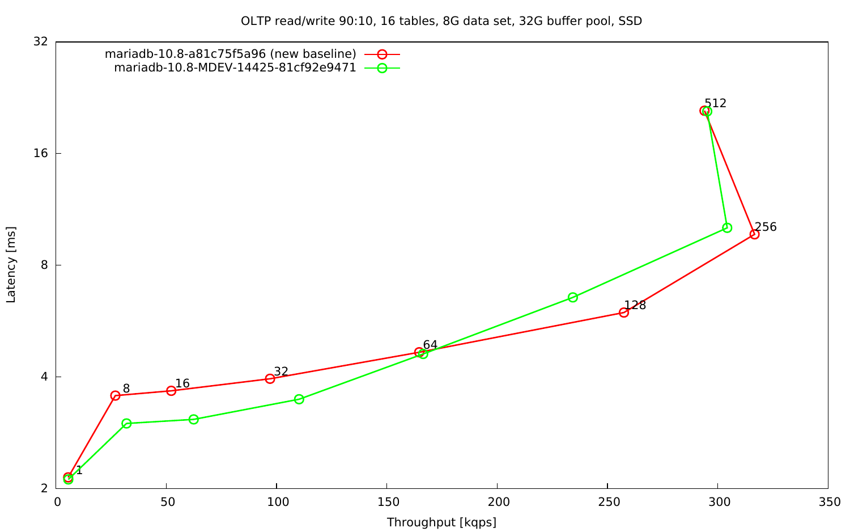OLTP read/write 90:10, 16 tables, 8G data set, 32G buffer pool, SSD

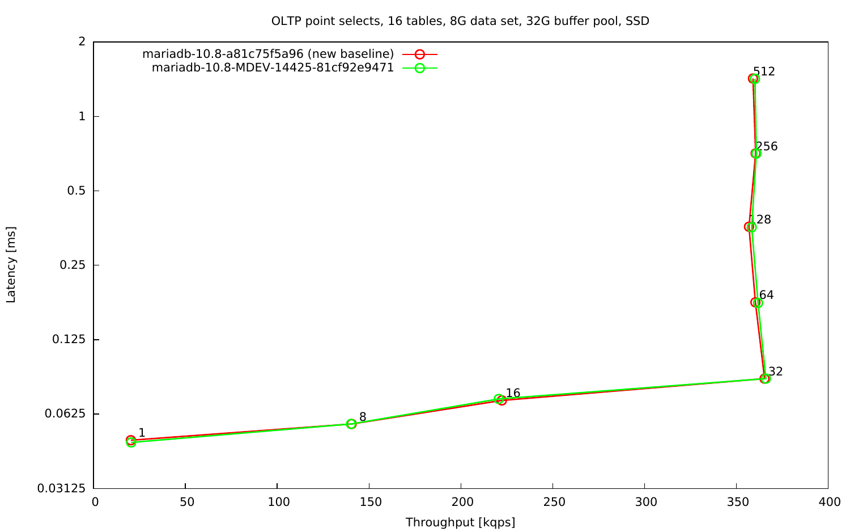OLTP point selects, 16 tables, 8G data set, 32G buffer pool, SSD

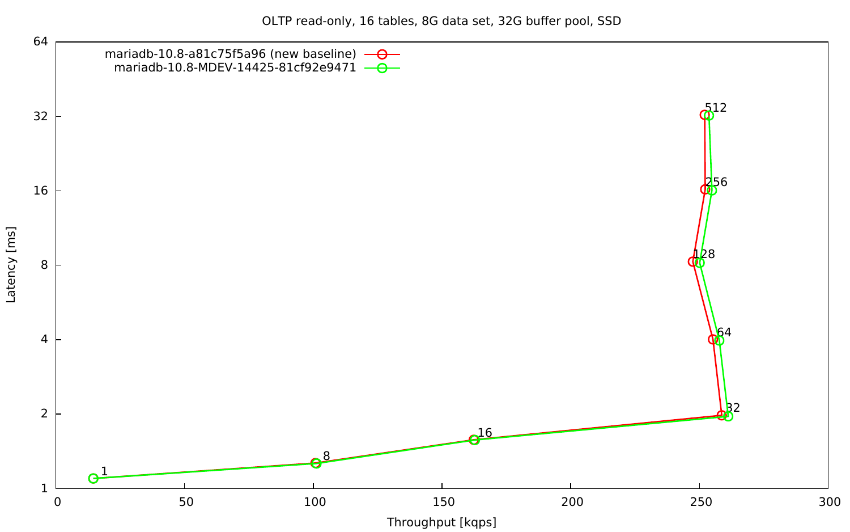OLTP read-only, 16 tables, 8G data set, 32G buffer pool, SSD

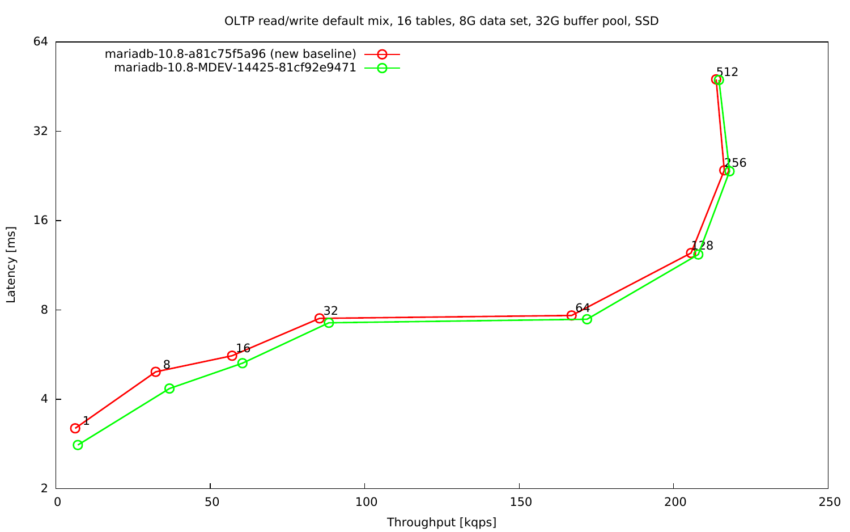OLTP read/write default mix, 16 tables, 8G data set, 32G buffer pool, SSD

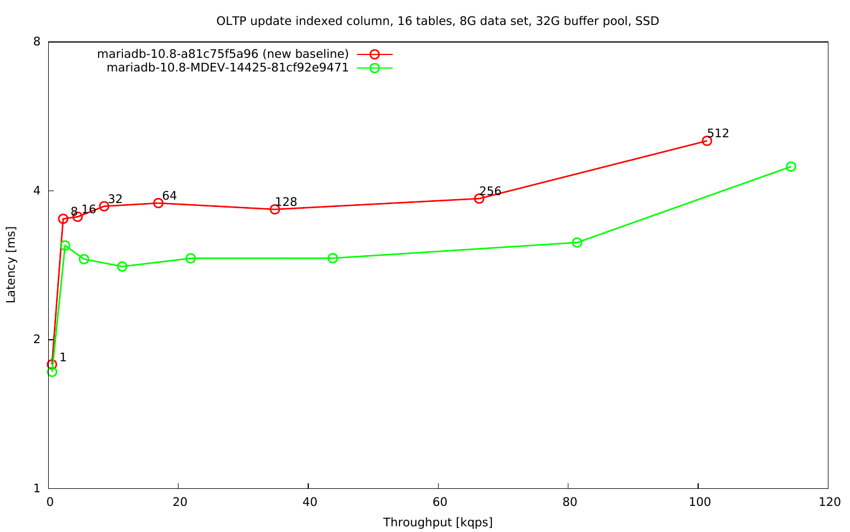OLTP update indexed column, 16 tables, 8G data set, 32G buffer pool, SSD

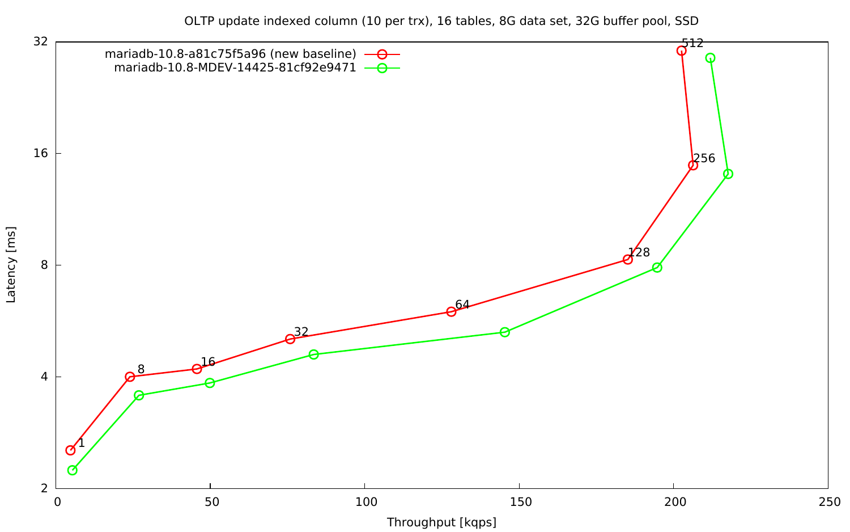OLTP update indexed column (10 per trx), 16 tables, 8G data set, 32G buffer pool, SSD

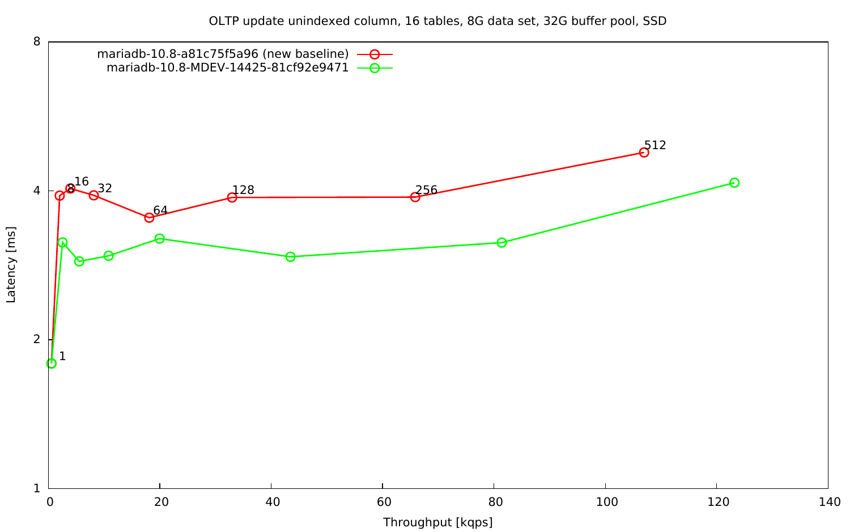OLTP update unindexed column, 16 tables, 8G data set, 32G buffer pool, SSD